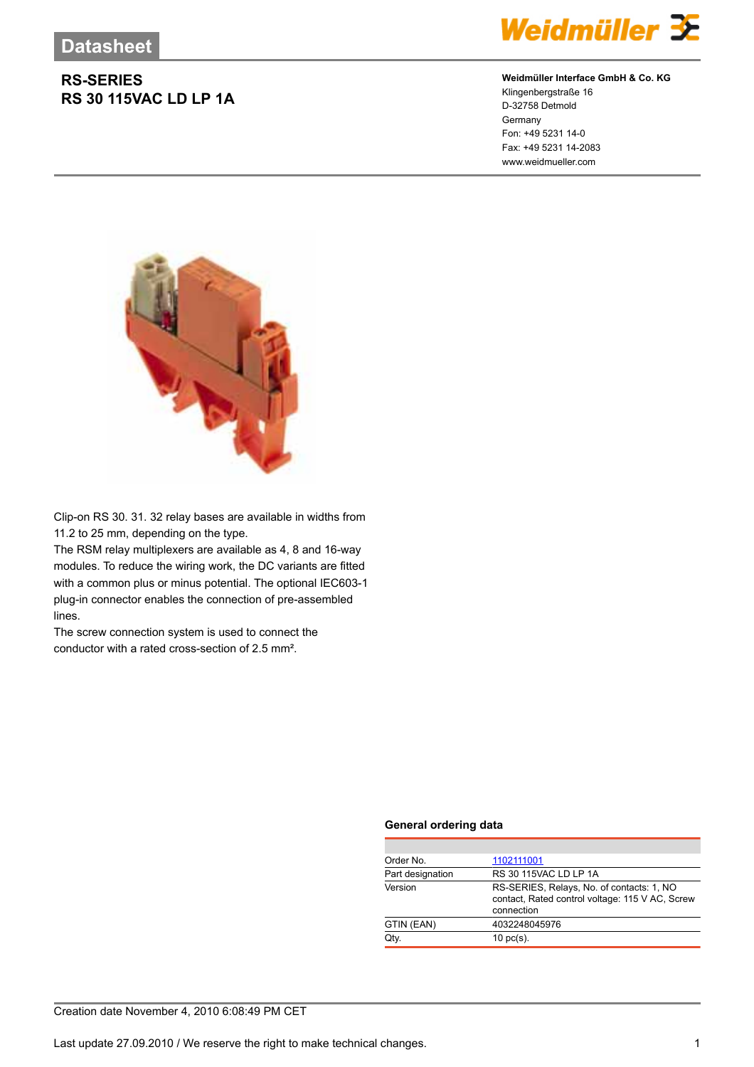## **RS-SERIES RS 30 115VAC LD LP 1A**



### **Weidmüller Interface GmbH & Co. KG**

Klingenbergstraße 16 D-32758 Detmold Germany Fon: +49 5231 14-0 Fax: +49 5231 14-2083 www.weidmueller.com



Clip-on RS 30. 31. 32 relay bases are available in widths from 11.2 to 25 mm, depending on the type.

The RSM relay multiplexers are available as 4, 8 and 16-way modules. To reduce the wiring work, the DC variants are fitted with a common plus or minus potential. The optional IEC603-1 plug-in connector enables the connection of pre-assembled lines.

The screw connection system is used to connect the conductor with a rated cross-section of 2.5 mm².

#### **General ordering data**

| Order No.        | 1102111001                                                                                                 |  |  |
|------------------|------------------------------------------------------------------------------------------------------------|--|--|
| Part designation | RS 30 115VAC LD LP 1A                                                                                      |  |  |
| Version          | RS-SERIES, Relays, No. of contacts: 1, NO<br>contact, Rated control voltage: 115 V AC, Screw<br>connection |  |  |
| GTIN (EAN)       | 4032248045976                                                                                              |  |  |
| Qtv.             | $10 \text{ pc(s)}$ .                                                                                       |  |  |